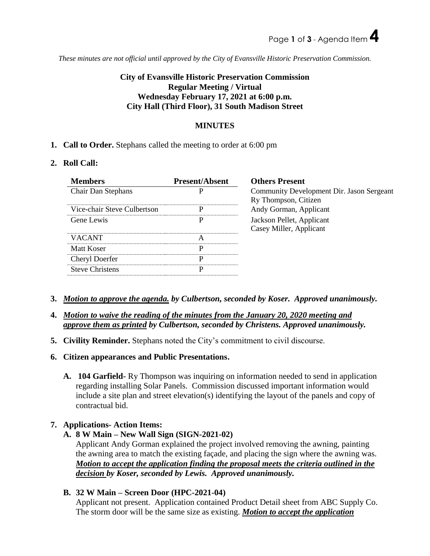*These minutes are not official until approved by the City of Evansville Historic Preservation Commission.*

# **City of Evansville Historic Preservation Commission Regular Meeting / Virtual Wednesday February 17, 2021 at 6:00 p.m. City Hall (Third Floor), 31 South Madison Street**

## **MINUTES**

**1. Call to Order.** Stephans called the meeting to order at 6:00 pm

## **2. Roll Call:**

| <b>Members</b>              | <b>Present/Absent</b> | <b>Others Present</b>                                             |
|-----------------------------|-----------------------|-------------------------------------------------------------------|
| <b>Chair Dan Stephans</b>   |                       | Community Development Dir. Jason Sergeant<br>Ry Thompson, Citizen |
| Vice-chair Steve Culbertson | р                     | Andy Gorman, Applicant                                            |
| Gene Lewis                  | P                     | Jackson Pellet, Applicant<br>Casey Miller, Applicant              |
| <b>VACANT</b>               | A                     |                                                                   |
| Matt Koser                  | P                     |                                                                   |
| Cheryl Doerfer              | р                     |                                                                   |
| <b>Steve Christens</b>      | P                     |                                                                   |
|                             |                       |                                                                   |

- **3.** *Motion to approve the agenda. by Culbertson, seconded by Koser. Approved unanimously.*
- **4.** *Motion to waive the reading of the minutes from the January 20, 2020 meeting and approve them as printed by Culbertson, seconded by Christens. Approved unanimously.*
- **5. Civility Reminder.** Stephans noted the City's commitment to civil discourse.
- **6. Citizen appearances and Public Presentations.**
	- **A. 104 Garfield-** Ry Thompson was inquiring on information needed to send in application regarding installing Solar Panels. Commission discussed important information would include a site plan and street elevation(s) identifying the layout of the panels and copy of contractual bid.

## **7. Applications- Action Items:**

**A. 8 W Main – New Wall Sign (SIGN-2021-02)** 

Applicant Andy Gorman explained the project involved removing the awning, painting the awning area to match the existing façade, and placing the sign where the awning was. *Motion to accept the application finding the proposal meets the criteria outlined in the decision by Koser, seconded by Lewis. Approved unanimously.*

**B. 32 W Main – Screen Door (HPC-2021-04)** 

Applicant not present. Application contained Product Detail sheet from ABC Supply Co. The storm door will be the same size as existing. *Motion to accept the application*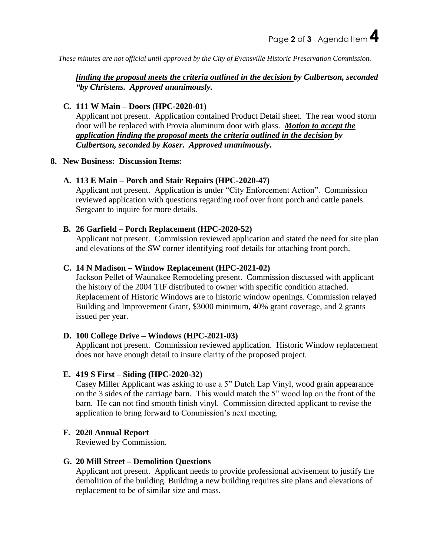*These minutes are not official until approved by the City of Evansville Historic Preservation Commission.*

## *finding the proposal meets the criteria outlined in the decision by Culbertson, seconded "by Christens. Approved unanimously.*

## **C. 111 W Main – Doors (HPC-2020-01)**

Applicant not present. Application contained Product Detail sheet. The rear wood storm door will be replaced with Provia aluminum door with glass. *Motion to accept the application finding the proposal meets the criteria outlined in the decision by Culbertson, seconded by Koser. Approved unanimously.*

## **8. New Business: Discussion Items:**

## **A. 113 E Main – Porch and Stair Repairs (HPC-2020-47)**

Applicant not present. Application is under "City Enforcement Action". Commission reviewed application with questions regarding roof over front porch and cattle panels. Sergeant to inquire for more details.

#### **B. 26 Garfield – Porch Replacement (HPC-2020-52)**

Applicant not present. Commission reviewed application and stated the need for site plan and elevations of the SW corner identifying roof details for attaching front porch.

#### **C. 14 N Madison – Window Replacement (HPC-2021-02)**

Jackson Pellet of Waunakee Remodeling present. Commission discussed with applicant the history of the 2004 TIF distributed to owner with specific condition attached. Replacement of Historic Windows are to historic window openings. Commission relayed Building and Improvement Grant, \$3000 minimum, 40% grant coverage, and 2 grants issued per year.

## **D. 100 College Drive – Windows (HPC-2021-03)**

Applicant not present. Commission reviewed application. Historic Window replacement does not have enough detail to insure clarity of the proposed project.

## **E. 419 S First – Siding (HPC-2020-32)**

Casey Miller Applicant was asking to use a 5" Dutch Lap Vinyl, wood grain appearance on the 3 sides of the carriage barn. This would match the 5" wood lap on the front of the barn. He can not find smooth finish vinyl. Commission directed applicant to revise the application to bring forward to Commission's next meeting.

## **F. 2020 Annual Report**

Reviewed by Commission.

#### **G. 20 Mill Street – Demolition Questions**

Applicant not present. Applicant needs to provide professional advisement to justify the demolition of the building. Building a new building requires site plans and elevations of replacement to be of similar size and mass.